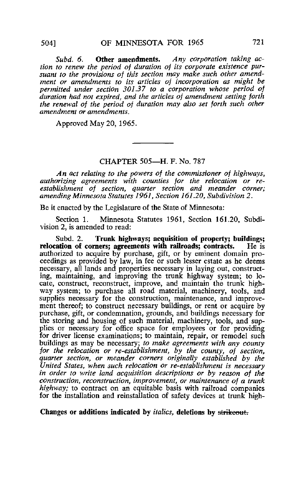Subd, 6. Other amendments. Any corporation taking action to renew the period of duration of its corporate existence pursuant to the provisions of this section may make such other amendment or amendments to its articles of incorporation as might be permitted under section 301.37 to a corporation whose period of duration had not expired, and the articles of amendment setting forth the renewal of the period of duration may also set forth such other amendment or amendments.

Approved May 20, 1965.

## CHAPTER 505—H. F. No. 787

An act relating to the powers of the commissioner of highways, authorizing agreements with counties for the relocation or reestablishment of section, quarter section and meander corner; amending Minnesota Statutes 1961, Section 161.20, Subdivision 2.

Be it enacted by the Legislature of the State of Minnesota:

Section 1. Minnesota Statutes 1961, Section 161.20, Subdivision 2, is amended to read:

Subd. 2. Trunk highways; acquisition of property; buildings; attion of corners: agreements with railroads: contracts. He is relocation of corners: agreements with railroads; contracts. authorized to acquire by purchase, gift, or by eminent domain proceedings as provided by law, in fee or such lesser estate as he deems necessary, all lands and properties necessary in laying out, constructing, maintaining, and improving the trunk highway system; to locate, construct, reconstruct, improve, and maintain the trunk highway system; to purchase all road material, machinery, tools, and supplies necessary for the construction, maintenance, and improvement thereof; to construct necessary buildings, or rent or acquire by purchase, gift, or condemnation, grounds, and buildings necessary for the storing and housing of such material, machinery, tools, and supplies or necessary for office space for employees or for providing for driver license examinations; to maintain, repair, or remodel such buildings as may be necessary; to make agreements with any county for the relocation or re-establishment, by the county, of section, quarter section, or meander corners originally established by the United States, when such relocation or re-establishment is necessary in order to write land acquisition descriptions or by reason of the construction, reconstruction, improvement, or maintenance of a trunk highway; to contract on an equitable basis with railroad companies for the installation and reinstallation of safety devices at trunk high-

Changes or additions indicated by *italics*, deletions by strikeout.